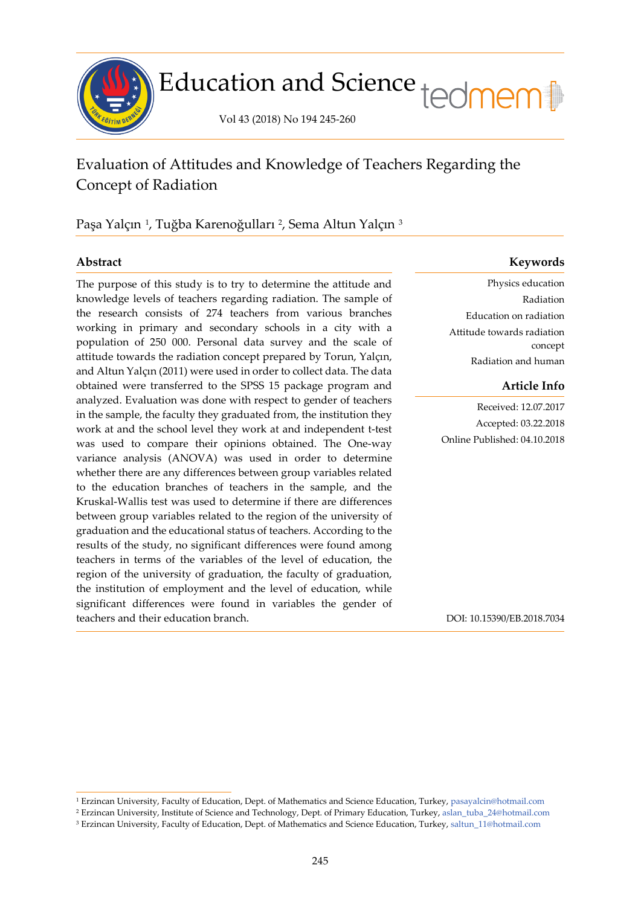

# Education and Science tedmem

Vol 43 (2018) No 194 245-260

## Evaluation of Attitudes and Knowledge of Teachers Regarding the Concept of Radiation

Paşa Yalçın <sup>[1](#page-0-0)</sup>, Tuğba Karenoğulları <sup>[2](#page-0-1)</sup>, Sema Altun Yalçın <sup>[3](#page-0-2)</sup>

j

The purpose of this study is to try to determine the attitude and knowledge levels of teachers regarding radiation. The sample of the research consists of 274 teachers from various branches working in primary and secondary schools in a city with a population of 250 000. Personal data survey and the scale of attitude towards the radiation concept prepared by Torun, Yalçın, and Altun Yalçın (2011) were used in order to collect data. The data obtained were transferred to the SPSS 15 package program and analyzed. Evaluation was done with respect to gender of teachers in the sample, the faculty they graduated from, the institution they work at and the school level they work at and independent t-test was used to compare their opinions obtained. The One-way variance analysis (ANOVA) was used in order to determine whether there are any differences between group variables related to the education branches of teachers in the sample, and the Kruskal-Wallis test was used to determine if there are differences between group variables related to the region of the university of graduation and the educational status of teachers. According to the results of the study, no significant differences were found among teachers in terms of the variables of the level of education, the region of the university of graduation, the faculty of graduation, the institution of employment and the level of education, while significant differences were found in variables the gender of teachers and their education branch.

### **Abstract Keywords**

Physics education Radiation Education on radiation Attitude towards radiation concept Radiation and human

### **Article Info**

Received: 12.07.2017 Accepted: 03.22.2018 Online Published: 04.10.2018

DOI: 10.15390/EB.2018.7034

<span id="page-0-0"></span><sup>1</sup> Erzincan University, Faculty of Education, Dept. of Mathematics and Science Education, Turkey, [pasayalcin@hotmail.com](mailto:pasayalcin@hotmail.com)

<span id="page-0-1"></span><sup>2</sup> Erzincan University, Institute of Science and Technology, Dept. of Primary Education, Turkey, [aslan\\_tuba\\_24@h](mailto:aslan_tuba_24@hotmail.com)otmail.com

<span id="page-0-2"></span><sup>3</sup> Erzincan University, Faculty of Education, Dept. of Mathematics and Science Education, Turkey, [saltun\\_11@hotmail.com](mailto:saltun_11@hotmail.com)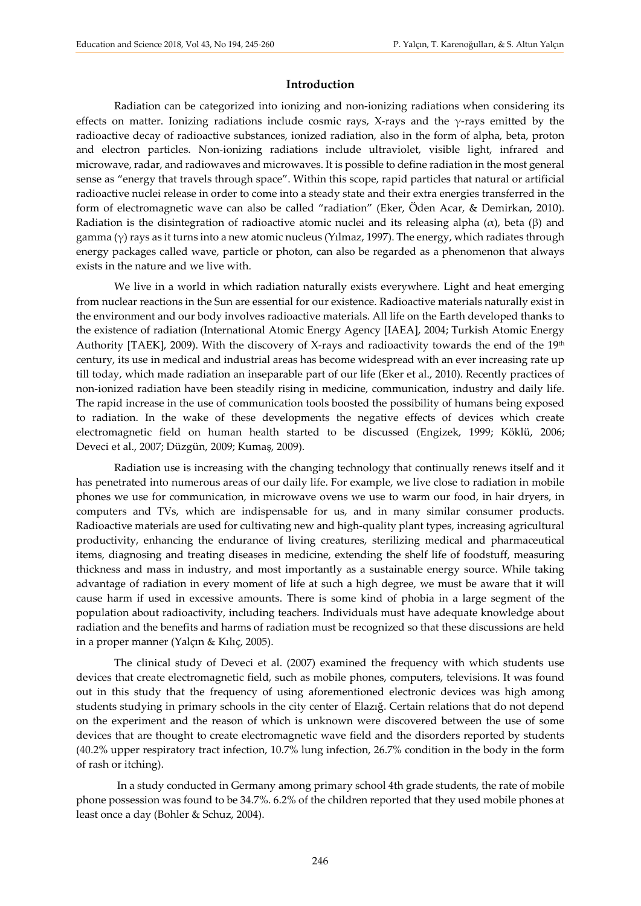#### **Introduction**

Radiation can be categorized into ionizing and non-ionizing radiations when considering its effects on matter. Ionizing radiations include cosmic rays, X-rays and the  $\gamma$ -rays emitted by the radioactive decay of radioactive substances, ionized radiation, also in the form of alpha, beta, proton and electron particles. Non-ionizing radiations include ultraviolet, visible light, infrared and microwave, radar, and radiowaves and microwaves. It is possible to define radiation in the most general sense as "energy that travels through space". Within this scope, rapid particles that natural or artificial radioactive nuclei release in order to come into a steady state and their extra energies transferred in the form of electromagnetic wave can also be called "radiation" (Eker, Öden Acar, & Demirkan, 2010). Radiation is the disintegration of radioactive atomic nuclei and its releasing alpha  $(\alpha)$ , beta  $(\beta)$  and gamma ( $\gamma$ ) rays as it turns into a new atomic nucleus (Yilmaz, 1997). The energy, which radiates through energy packages called wave, particle or photon, can also be regarded as a phenomenon that always exists in the nature and we live with.

We live in a world in which radiation naturally exists everywhere. Light and heat emerging from nuclear reactions in the Sun are essential for our existence. Radioactive materials naturally exist in the environment and our body involves radioactive materials. All life on the Earth developed thanks to the existence of radiation (International Atomic Energy Agency [IAEA], 2004; Turkish Atomic Energy Authority [TAEK], 2009). With the discovery of X-rays and radioactivity towards the end of the 19<sup>th</sup> century, its use in medical and industrial areas has become widespread with an ever increasing rate up till today, which made radiation an inseparable part of our life (Eker et al., 2010). Recently practices of non-ionized radiation have been steadily rising in medicine, communication, industry and daily life. The rapid increase in the use of communication tools boosted the possibility of humans being exposed to radiation. In the wake of these developments the negative effects of devices which create electromagnetic field on human health started to be discussed (Engizek, 1999; Köklü, 2006; Deveci et al., 2007; Düzgün, 2009; Kumaş, 2009).

Radiation use is increasing with the changing technology that continually renews itself and it has penetrated into numerous areas of our daily life. For example, we live close to radiation in mobile phones we use for communication, in microwave ovens we use to warm our food, in hair dryers, in computers and TVs, which are indispensable for us, and in many similar consumer products. Radioactive materials are used for cultivating new and high-quality plant types, increasing agricultural productivity, enhancing the endurance of living creatures, sterilizing medical and pharmaceutical items, diagnosing and treating diseases in medicine, extending the shelf life of foodstuff, measuring thickness and mass in industry, and most importantly as a sustainable energy source. While taking advantage of radiation in every moment of life at such a high degree, we must be aware that it will cause harm if used in excessive amounts. There is some kind of phobia in a large segment of the population about radioactivity, including teachers. Individuals must have adequate knowledge about radiation and the benefits and harms of radiation must be recognized so that these discussions are held in a proper manner (Yalçın & Kılıç, 2005).

The clinical study of Deveci et al. (2007) examined the frequency with which students use devices that create electromagnetic field, such as mobile phones, computers, televisions. It was found out in this study that the frequency of using aforementioned electronic devices was high among students studying in primary schools in the city center of Elazığ. Certain relations that do not depend on the experiment and the reason of which is unknown were discovered between the use of some devices that are thought to create electromagnetic wave field and the disorders reported by students (40.2% upper respiratory tract infection, 10.7% lung infection, 26.7% condition in the body in the form of rash or itching).

In a study conducted in Germany among primary school 4th grade students, the rate of mobile phone possession was found to be 34.7%. 6.2% of the children reported that they used mobile phones at least once a day (Bohler & Schuz, 2004).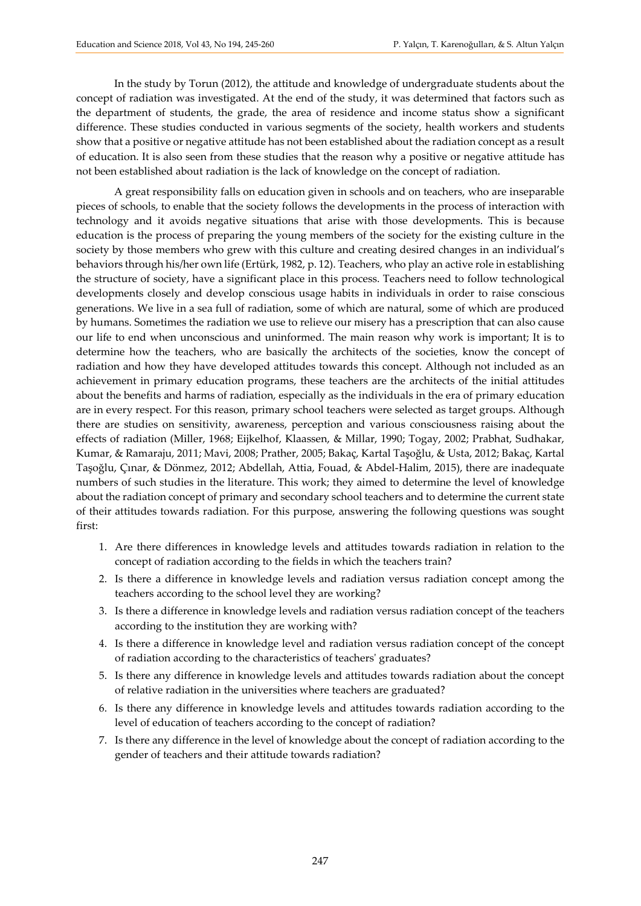In the study by Torun (2012), the attitude and knowledge of undergraduate students about the concept of radiation was investigated. At the end of the study, it was determined that factors such as the department of students, the grade, the area of residence and income status show a significant difference. These studies conducted in various segments of the society, health workers and students show that a positive or negative attitude has not been established about the radiation concept as a result of education. It is also seen from these studies that the reason why a positive or negative attitude has not been established about radiation is the lack of knowledge on the concept of radiation.

A great responsibility falls on education given in schools and on teachers, who are inseparable pieces of schools, to enable that the society follows the developments in the process of interaction with technology and it avoids negative situations that arise with those developments. This is because education is the process of preparing the young members of the society for the existing culture in the society by those members who grew with this culture and creating desired changes in an individual's behaviors through his/her own life (Ertürk, 1982, p. 12). Teachers, who play an active role in establishing the structure of society, have a significant place in this process. Teachers need to follow technological developments closely and develop conscious usage habits in individuals in order to raise conscious generations. We live in a sea full of radiation, some of which are natural, some of which are produced by humans. Sometimes the radiation we use to relieve our misery has a prescription that can also cause our life to end when unconscious and uninformed. The main reason why work is important; It is to determine how the teachers, who are basically the architects of the societies, know the concept of radiation and how they have developed attitudes towards this concept. Although not included as an achievement in primary education programs, these teachers are the architects of the initial attitudes about the benefits and harms of radiation, especially as the individuals in the era of primary education are in every respect. For this reason, primary school teachers were selected as target groups. Although there are studies on sensitivity, awareness, perception and various consciousness raising about the effects of radiation (Miller, 1968; Eijkelhof, Klaassen, & Millar, 1990; Togay, 2002; Prabhat, Sudhakar, Kumar, & Ramaraju, 2011; Mavi, 2008; Prather, 2005; Bakaç, Kartal Taşoğlu, & Usta, 2012; Bakaç, Kartal Taşoğlu, Çınar, & Dönmez, 2012; Abdellah, Attia, Fouad, & Abdel-Halim, 2015), there are inadequate numbers of such studies in the literature. This work; they aimed to determine the level of knowledge about the radiation concept of primary and secondary school teachers and to determine the current state of their attitudes towards radiation. For this purpose, answering the following questions was sought first:

- 1. Are there differences in knowledge levels and attitudes towards radiation in relation to the concept of radiation according to the fields in which the teachers train?
- 2. Is there a difference in knowledge levels and radiation versus radiation concept among the teachers according to the school level they are working?
- 3. Is there a difference in knowledge levels and radiation versus radiation concept of the teachers according to the institution they are working with?
- 4. Is there a difference in knowledge level and radiation versus radiation concept of the concept of radiation according to the characteristics of teachers' graduates?
- 5. Is there any difference in knowledge levels and attitudes towards radiation about the concept of relative radiation in the universities where teachers are graduated?
- 6. Is there any difference in knowledge levels and attitudes towards radiation according to the level of education of teachers according to the concept of radiation?
- 7. Is there any difference in the level of knowledge about the concept of radiation according to the gender of teachers and their attitude towards radiation?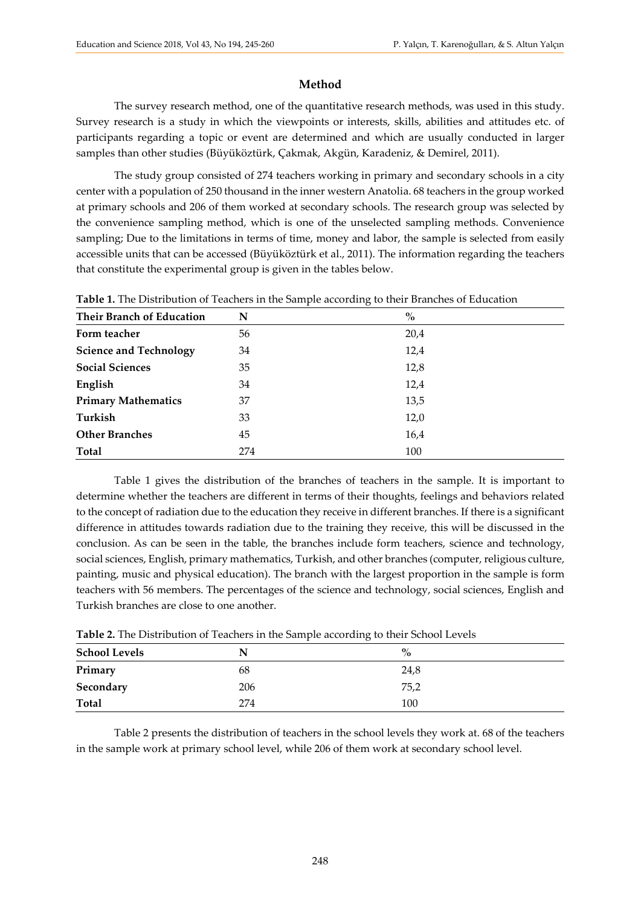### **Method**

The survey research method, one of the quantitative research methods, was used in this study. Survey research is a study in which the viewpoints or interests, skills, abilities and attitudes etc. of participants regarding a topic or event are determined and which are usually conducted in larger samples than other studies (Büyüköztürk, Çakmak, Akgün, Karadeniz, & Demirel, 2011).

The study group consisted of 274 teachers working in primary and secondary schools in a city center with a population of 250 thousand in the inner western Anatolia. 68 teachers in the group worked at primary schools and 206 of them worked at secondary schools. The research group was selected by the convenience sampling method, which is one of the unselected sampling methods. Convenience sampling; Due to the limitations in terms of time, money and labor, the sample is selected from easily accessible units that can be accessed (Büyüköztürk et al., 2011). The information regarding the teachers that constitute the experimental group is given in the tables below.

| <b>Their Branch of Education</b> | N   | $\%$ |
|----------------------------------|-----|------|
| Form teacher                     | 56  | 20,4 |
| <b>Science and Technology</b>    | 34  | 12,4 |
| <b>Social Sciences</b>           | 35  | 12,8 |
| English                          | 34  | 12,4 |
| <b>Primary Mathematics</b>       | 37  | 13,5 |
| Turkish                          | 33  | 12,0 |
| <b>Other Branches</b>            | 45  | 16,4 |
| <b>Total</b>                     | 274 | 100  |

**Table 1.** The Distribution of Teachers in the Sample according to their Branches of Education

Table 1 gives the distribution of the branches of teachers in the sample. It is important to determine whether the teachers are different in terms of their thoughts, feelings and behaviors related to the concept of radiation due to the education they receive in different branches. If there is a significant difference in attitudes towards radiation due to the training they receive, this will be discussed in the conclusion. As can be seen in the table, the branches include form teachers, science and technology, social sciences, English, primary mathematics, Turkish, and other branches (computer, religious culture, painting, music and physical education). The branch with the largest proportion in the sample is form teachers with 56 members. The percentages of the science and technology, social sciences, English and Turkish branches are close to one another.

| Table 2. The Distribution of Teachers in the Sample according to their School Levels |  |  |
|--------------------------------------------------------------------------------------|--|--|
|--------------------------------------------------------------------------------------|--|--|

| <b>School Levels</b> | N   | $\%$ |  |
|----------------------|-----|------|--|
| Primary              | 68  | 24,8 |  |
| Secondary            | 206 | 75,2 |  |
| <b>Total</b>         | 274 | 100  |  |

Table 2 presents the distribution of teachers in the school levels they work at. 68 of the teachers in the sample work at primary school level, while 206 of them work at secondary school level.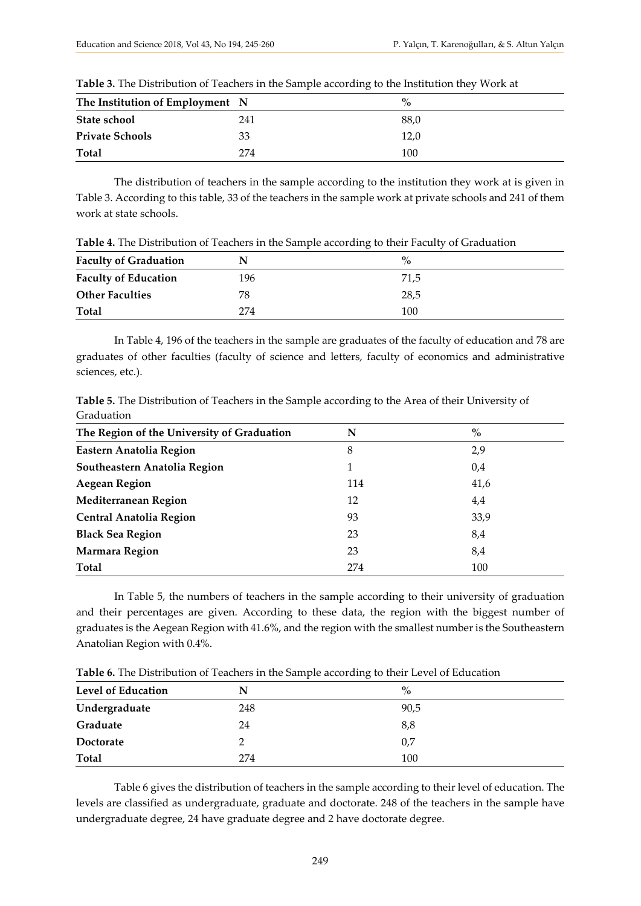| The Institution of Employment N |     |  | $\frac{0}{2}$ |
|---------------------------------|-----|--|---------------|
| State school                    | 241 |  | 88,0          |
| <b>Private Schools</b>          | 33  |  | 12.0          |
| <b>Total</b>                    | 274 |  | 100           |

**Table 3.** The Distribution of Teachers in the Sample according to the Institution they Work at

The distribution of teachers in the sample according to the institution they work at is given in Table 3. According to this table, 33 of the teachers in the sample work at private schools and 241 of them work at state schools.

**Table 4.** The Distribution of Teachers in the Sample according to their Faculty of Graduation

| <b>Faculty of Graduation</b> | N   | $\%$ |  |
|------------------------------|-----|------|--|
| <b>Faculty of Education</b>  | 196 | 71,5 |  |
| <b>Other Faculties</b>       | 78  | 28,5 |  |
| Total                        | 274 | 100  |  |

In Table 4, 196 of the teachers in the sample are graduates of the faculty of education and 78 are graduates of other faculties (faculty of science and letters, faculty of economics and administrative sciences, etc.).

**Table 5.** The Distribution of Teachers in the Sample according to the Area of their University of Graduation

| The Region of the University of Graduation | N   | $\%$ |
|--------------------------------------------|-----|------|
| Eastern Anatolia Region                    | 8   | 2,9  |
| Southeastern Anatolia Region               |     | 0,4  |
| <b>Aegean Region</b>                       | 114 | 41,6 |
| Mediterranean Region                       | 12  | 4,4  |
| <b>Central Anatolia Region</b>             | 93  | 33,9 |
| <b>Black Sea Region</b>                    | 23  | 8,4  |
| <b>Marmara Region</b>                      | 23  | 8,4  |
| Total                                      | 274 | 100  |

In Table 5, the numbers of teachers in the sample according to their university of graduation and their percentages are given. According to these data, the region with the biggest number of graduates is the Aegean Region with 41.6%, and the region with the smallest number is the Southeastern Anatolian Region with 0.4%.

|                           |     | $\overline{\phantom{0}}$ |  |
|---------------------------|-----|--------------------------|--|
| <b>Level of Education</b> | N   | $\%$                     |  |
| Undergraduate             | 248 | 90,5                     |  |
| Graduate                  | 24  | 8,8                      |  |
| Doctorate                 |     | 0,7                      |  |
| <b>Total</b>              | 274 | 100                      |  |

**Table 6.** The Distribution of Teachers in the Sample according to their Level of Education

Table 6 gives the distribution of teachers in the sample according to their level of education. The levels are classified as undergraduate, graduate and doctorate. 248 of the teachers in the sample have undergraduate degree, 24 have graduate degree and 2 have doctorate degree.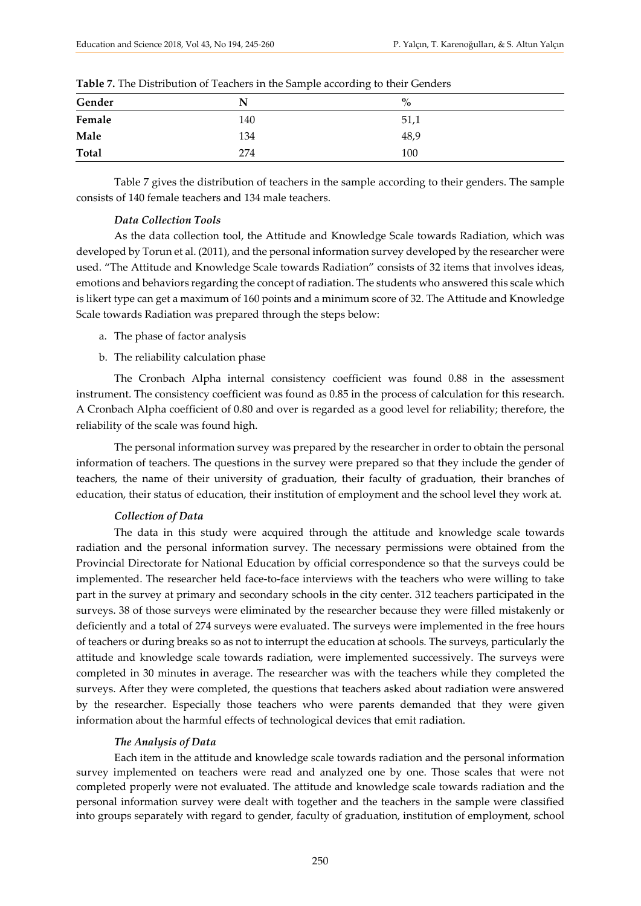|        | ◡   |      |
|--------|-----|------|
| Gender | N   | $\%$ |
| Female | 140 | 51,1 |
| Male   | 134 | 48,9 |
| Total  | 274 | 100  |

Table 7 gives the distribution of teachers in the sample according to their genders. The sample consists of 140 female teachers and 134 male teachers.

#### *Data Collection Tools*

As the data collection tool, the Attitude and Knowledge Scale towards Radiation, which was developed by Torun et al. (2011), and the personal information survey developed by the researcher were used. "The Attitude and Knowledge Scale towards Radiation" consists of 32 items that involves ideas, emotions and behaviors regarding the concept of radiation. The students who answered this scale which is likert type can get a maximum of 160 points and a minimum score of 32. The Attitude and Knowledge Scale towards Radiation was prepared through the steps below:

- a. The phase of factor analysis
- b. The reliability calculation phase

The Cronbach Alpha internal consistency coefficient was found 0.88 in the assessment instrument. The consistency coefficient was found as 0.85 in the process of calculation for this research. A Cronbach Alpha coefficient of 0.80 and over is regarded as a good level for reliability; therefore, the reliability of the scale was found high.

The personal information survey was prepared by the researcher in order to obtain the personal information of teachers. The questions in the survey were prepared so that they include the gender of teachers, the name of their university of graduation, their faculty of graduation, their branches of education, their status of education, their institution of employment and the school level they work at.

#### *Collection of Data*

The data in this study were acquired through the attitude and knowledge scale towards radiation and the personal information survey. The necessary permissions were obtained from the Provincial Directorate for National Education by official correspondence so that the surveys could be implemented. The researcher held face-to-face interviews with the teachers who were willing to take part in the survey at primary and secondary schools in the city center. 312 teachers participated in the surveys. 38 of those surveys were eliminated by the researcher because they were filled mistakenly or deficiently and a total of 274 surveys were evaluated. The surveys were implemented in the free hours of teachers or during breaks so as not to interrupt the education at schools. The surveys, particularly the attitude and knowledge scale towards radiation, were implemented successively. The surveys were completed in 30 minutes in average. The researcher was with the teachers while they completed the surveys. After they were completed, the questions that teachers asked about radiation were answered by the researcher. Especially those teachers who were parents demanded that they were given information about the harmful effects of technological devices that emit radiation.

#### *The Analysis of Data*

Each item in the attitude and knowledge scale towards radiation and the personal information survey implemented on teachers were read and analyzed one by one. Those scales that were not completed properly were not evaluated. The attitude and knowledge scale towards radiation and the personal information survey were dealt with together and the teachers in the sample were classified into groups separately with regard to gender, faculty of graduation, institution of employment, school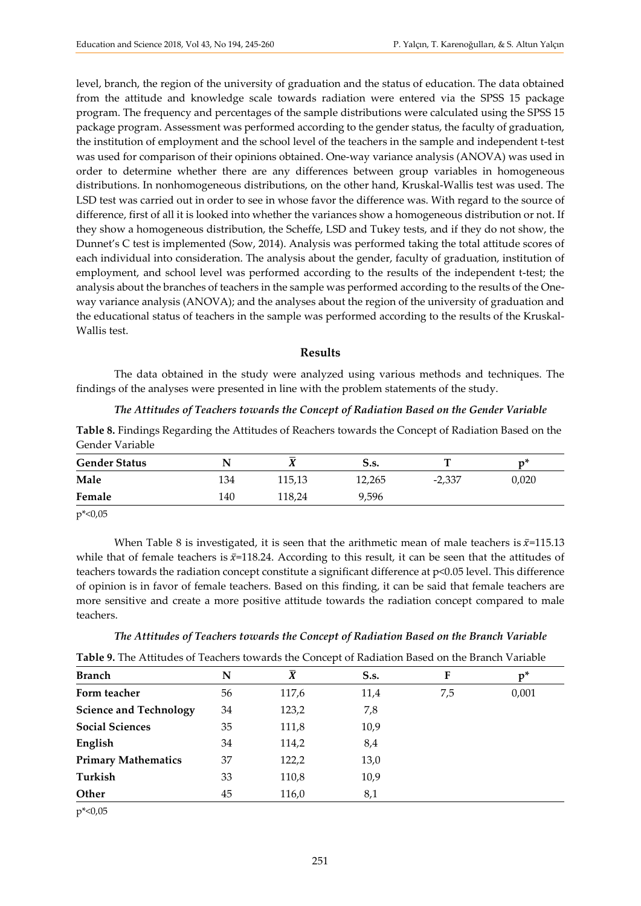level, branch, the region of the university of graduation and the status of education. The data obtained from the attitude and knowledge scale towards radiation were entered via the SPSS 15 package program. The frequency and percentages of the sample distributions were calculated using the SPSS 15 package program. Assessment was performed according to the gender status, the faculty of graduation, the institution of employment and the school level of the teachers in the sample and independent t-test was used for comparison of their opinions obtained. One-way variance analysis (ANOVA) was used in order to determine whether there are any differences between group variables in homogeneous distributions. In nonhomogeneous distributions, on the other hand, Kruskal-Wallis test was used. The LSD test was carried out in order to see in whose favor the difference was. With regard to the source of difference, first of all it is looked into whether the variances show a homogeneous distribution or not. If they show a homogeneous distribution, the Scheffe, LSD and Tukey tests, and if they do not show, the Dunnet's C test is implemented (Sow, 2014). Analysis was performed taking the total attitude scores of each individual into consideration. The analysis about the gender, faculty of graduation, institution of employment, and school level was performed according to the results of the independent t-test; the analysis about the branches of teachers in the sample was performed according to the results of the Oneway variance analysis (ANOVA); and the analyses about the region of the university of graduation and the educational status of teachers in the sample was performed according to the results of the Kruskal-Wallis test.

#### **Results**

The data obtained in the study were analyzed using various methods and techniques. The findings of the analyses were presented in line with the problem statements of the study.

#### *The Attitudes of Teachers towards the Concept of Radiation Based on the Gender Variable*

| Table 8. Findings Regarding the Attitudes of Reachers towards the Concept of Radiation Based on the |  |
|-----------------------------------------------------------------------------------------------------|--|
| Gender Variable                                                                                     |  |

| <b>Gender Status</b> |     | <b>T</b> | S.s.   |          | n"    |  |  |
|----------------------|-----|----------|--------|----------|-------|--|--|
| Male                 | 134 | 115,13   | 12,265 | $-2,337$ | 0,020 |  |  |
| Female               | 140 | 118,24   | 9,596  |          |       |  |  |
| .                    |     |          |        |          |       |  |  |

p\*<0,05

When Table 8 is investigated, it is seen that the arithmetic mean of male teachers is  $\bar{x}$ =115.13 while that of female teachers is  $\bar{x}$ =118.24. According to this result, it can be seen that the attitudes of teachers towards the radiation concept constitute a significant difference at p<0.05 level. This difference of opinion is in favor of female teachers. Based on this finding, it can be said that female teachers are more sensitive and create a more positive attitude towards the radiation concept compared to male teachers.

#### *The Attitudes of Teachers towards the Concept of Radiation Based on the Branch Variable*

**Table 9.** The Attitudes of Teachers towards the Concept of Radiation Based on the Branch Variable

| <b>Branch</b>                 | N  | $\overline{X}$ | <b>S.s.</b> | F   | $p^*$ |
|-------------------------------|----|----------------|-------------|-----|-------|
| Form teacher                  | 56 | 117,6          | 11,4        | 7,5 | 0,001 |
| <b>Science and Technology</b> | 34 | 123,2          | 7,8         |     |       |
| <b>Social Sciences</b>        | 35 | 111,8          | 10,9        |     |       |
| English                       | 34 | 114,2          | 8,4         |     |       |
| <b>Primary Mathematics</b>    | 37 | 122,2          | 13,0        |     |       |
| Turkish                       | 33 | 110,8          | 10,9        |     |       |
| Other                         | 45 | 116,0          | 8,1         |     |       |

p\*<0,05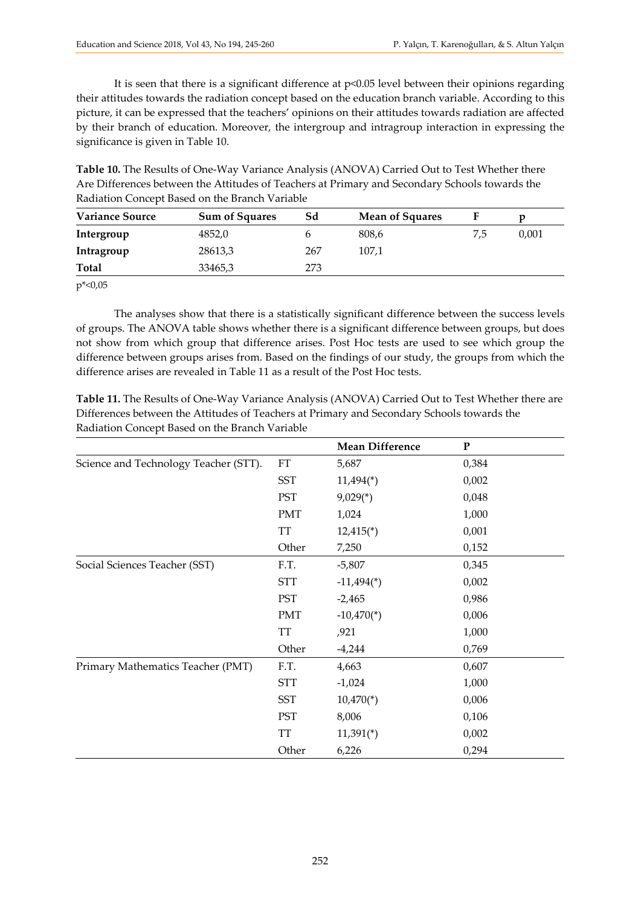It is seen that there is a significant difference at p<0.05 level between their opinions regarding their attitudes towards the radiation concept based on the education branch variable. According to this picture, it can be expressed that the teachers' opinions on their attitudes towards radiation are affected by their branch of education. Moreover, the intergroup and intragroup interaction in expressing the significance is given in Table 10.

**Table 10.** The Results of One-Way Variance Analysis (ANOVA) Carried Out to Test Whether there Are Differences between the Attitudes of Teachers at Primary and Secondary Schools towards the Radiation Concept Based on the Branch Variable

| <b>Variance Source</b> | <b>Sum of Squares</b> | Sd  | <b>Mean of Squares</b> |     |       |
|------------------------|-----------------------|-----|------------------------|-----|-------|
| Intergroup             | 4852,0                |     | 808,6                  | 7,5 | 0,001 |
| Intragroup             | 28613,3               | 267 | 107,1                  |     |       |
| <b>Total</b>           | 33465,3               | 273 |                        |     |       |

 $p^* < 0.05$ 

The analyses show that there is a statistically significant difference between the success levels of groups. The ANOVA table shows whether there is a significant difference between groups, but does not show from which group that difference arises. Post Hoc tests are used to see which group the difference between groups arises from. Based on the findings of our study, the groups from which the difference arises are revealed in Table 11 as a result of the Post Hoc tests.

**Table 11.** The Results of One-Way Variance Analysis (ANOVA) Carried Out to Test Whether there are Differences between the Attitudes of Teachers at Primary and Secondary Schools towards the Radiation Concept Based on the Branch Variable

|                                       |                     | <b>Mean Difference</b>   | ${\bf P}$ |
|---------------------------------------|---------------------|--------------------------|-----------|
| Science and Technology Teacher (STT). | $\operatorname{FT}$ | 5,687                    | 0,384     |
|                                       | <b>SST</b>          | $11,494$ <sup>*</sup> )  | 0,002     |
|                                       | PST                 | $9,029$ <sup>*</sup> )   | 0,048     |
|                                       | <b>PMT</b>          | 1,024                    | 1,000     |
|                                       | <b>TT</b>           | $12,415$ <sup>*</sup> )  | 0,001     |
|                                       | Other               | 7,250                    | 0,152     |
| Social Sciences Teacher (SST)         | F.T.                | $-5,807$                 | 0,345     |
|                                       | <b>STT</b>          | $-11,494$ <sup>*</sup> ) | 0,002     |
|                                       | PST                 | $-2,465$                 | 0,986     |
|                                       | <b>PMT</b>          | $-10,470(*)$             | 0,006     |
|                                       | <b>TT</b>           | ,921                     | 1,000     |
|                                       | Other               | $-4,244$                 | 0,769     |
| Primary Mathematics Teacher (PMT)     | F.T.                | 4,663                    | 0,607     |
|                                       | <b>STT</b>          | $-1,024$                 | 1,000     |
|                                       | <b>SST</b>          | $10,470$ <sup>*</sup> )  | 0,006     |
|                                       | PST                 | 8,006                    | 0,106     |
|                                       | <b>TT</b>           | $11,391$ <sup>*</sup> )  | 0,002     |
|                                       | Other               | 6,226                    | 0,294     |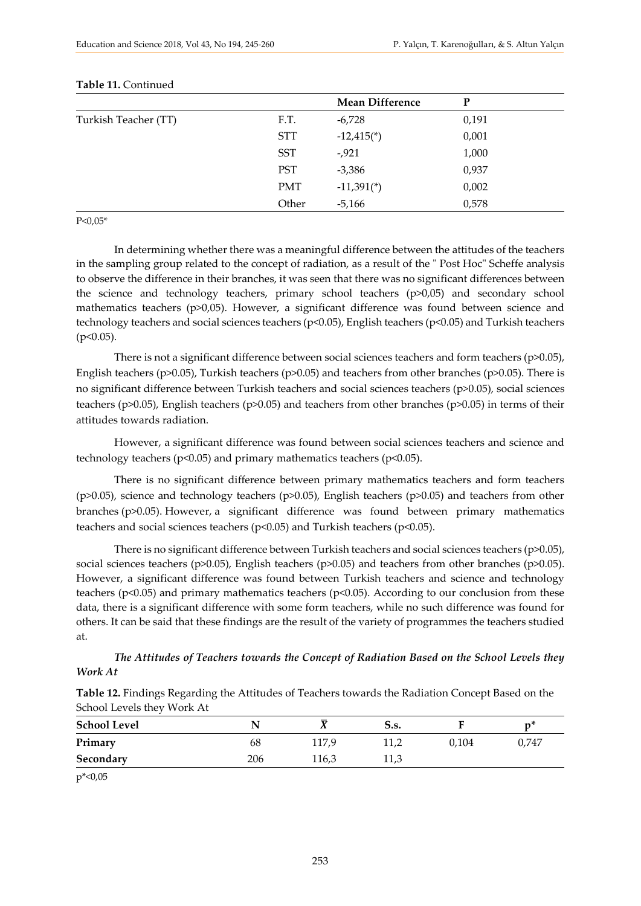|                      |            | <b>Mean Difference</b>   | P     |  |
|----------------------|------------|--------------------------|-------|--|
| Turkish Teacher (TT) | F.T.       | $-6,728$                 | 0,191 |  |
|                      | <b>STT</b> | $-12,415$ <sup>*</sup> ) | 0,001 |  |
|                      | <b>SST</b> | $-0.921$                 | 1,000 |  |
|                      | <b>PST</b> | $-3,386$                 | 0,937 |  |
|                      | <b>PMT</b> | $-11,391$ <sup>*</sup> ) | 0,002 |  |
|                      | Other      | $-5,166$                 | 0,578 |  |

#### **Table 11.** Continued

 $P < 0.05*$ 

In determining whether there was a meaningful difference between the attitudes of the teachers in the sampling group related to the concept of radiation, as a result of the " Post Hoc" Scheffe analysis to observe the difference in their branches, it was seen that there was no significant differences between the science and technology teachers, primary school teachers (p>0,05) and secondary school mathematics teachers (p>0,05). However, a significant difference was found between science and technology teachers and social sciences teachers (p<0.05), English teachers (p<0.05) and Turkish teachers  $(p<0.05)$ .

There is not a significant difference between social sciences teachers and form teachers (p>0.05), English teachers (p>0.05), Turkish teachers (p>0.05) and teachers from other branches (p>0.05). There is no significant difference between Turkish teachers and social sciences teachers (p>0.05), social sciences teachers (p>0.05), English teachers (p>0.05) and teachers from other branches (p>0.05) in terms of their attitudes towards radiation.

However, a significant difference was found between social sciences teachers and science and technology teachers (p<0.05) and primary mathematics teachers (p<0.05).

There is no significant difference between primary mathematics teachers and form teachers (p>0.05), science and technology teachers (p>0.05), English teachers (p>0.05) and teachers from other branches (p>0.05). However, a significant difference was found between primary mathematics teachers and social sciences teachers (p<0.05) and Turkish teachers (p<0.05).

There is no significant difference between Turkish teachers and social sciences teachers (p>0.05), social sciences teachers (p>0.05), English teachers (p>0.05) and teachers from other branches (p>0.05). However, a significant difference was found between Turkish teachers and science and technology teachers (p<0.05) and primary mathematics teachers (p<0.05). According to our conclusion from these data, there is a significant difference with some form teachers, while no such difference was found for others. It can be said that these findings are the result of the variety of programmes the teachers studied at.

*The Attitudes of Teachers towards the Concept of Radiation Based on the School Levels they Work At*

|                            | Table 12. Findings Regarding the Attitudes of Teachers towards the Radiation Concept Based on the |  |  |
|----------------------------|---------------------------------------------------------------------------------------------------|--|--|
| School Levels they Work At |                                                                                                   |  |  |

| <b>School Level</b> |     |       | 5.s. |       | n۹    |
|---------------------|-----|-------|------|-------|-------|
| Primary             | 68  | 117,9 | 11,2 | 0,104 | 0,747 |
| Secondary           | 206 | 116,3 | 11,3 |       |       |

p\*<0,05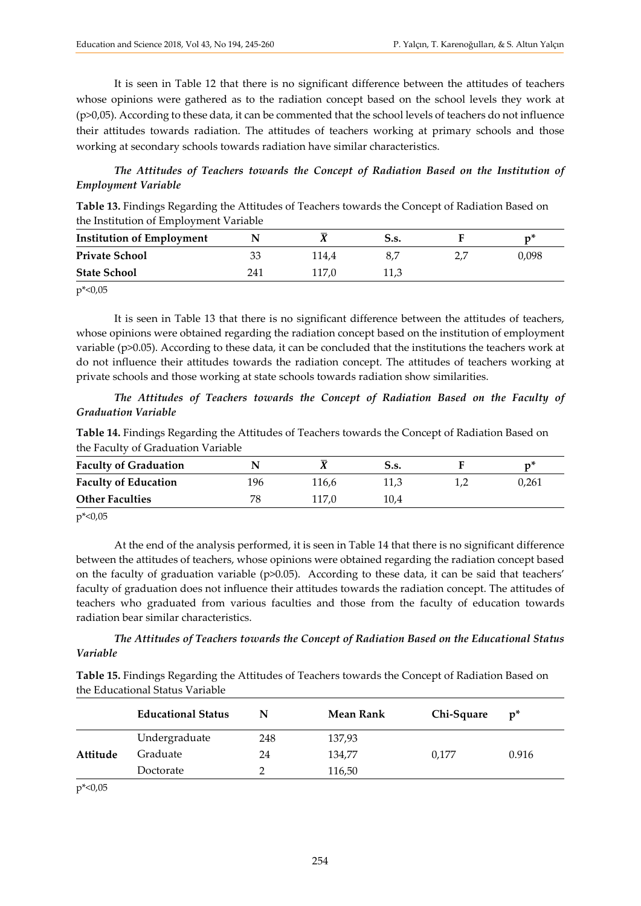It is seen in Table 12 that there is no significant difference between the attitudes of teachers whose opinions were gathered as to the radiation concept based on the school levels they work at (p>0,05). According to these data, it can be commented that the school levels of teachers do not influence their attitudes towards radiation. The attitudes of teachers working at primary schools and those working at secondary schools towards radiation have similar characteristics.

*The Attitudes of Teachers towards the Concept of Radiation Based on the Institution of Employment Variable*

**Table 13.** Findings Regarding the Attitudes of Teachers towards the Concept of Radiation Based on the Institution of Employment Variable

| <b>Institution of Employment</b> |     |       | 5.s. |       |
|----------------------------------|-----|-------|------|-------|
| <b>Private School</b>            |     | 114.4 | 8    | 0,098 |
| <b>State School</b>              | 241 | 117.0 | 11,3 |       |

p\*<0,05

It is seen in Table 13 that there is no significant difference between the attitudes of teachers, whose opinions were obtained regarding the radiation concept based on the institution of employment variable (p>0.05). According to these data, it can be concluded that the institutions the teachers work at do not influence their attitudes towards the radiation concept. The attitudes of teachers working at private schools and those working at state schools towards radiation show similarities.

*The Attitudes of Teachers towards the Concept of Radiation Based on the Faculty of Graduation Variable*

**Table 14.** Findings Regarding the Attitudes of Teachers towards the Concept of Radiation Based on the Faculty of Graduation Variable

| <b>Faculty of Graduation</b> |     |       | S.s. |       |
|------------------------------|-----|-------|------|-------|
| <b>Faculty of Education</b>  | 196 | 116,6 | 11.3 | 0.261 |
| <b>Other Faculties</b>       |     | 117.0 | 10.4 |       |

 $p^* < 0.05$ 

At the end of the analysis performed, it is seen in Table 14 that there is no significant difference between the attitudes of teachers, whose opinions were obtained regarding the radiation concept based on the faculty of graduation variable (p>0.05). According to these data, it can be said that teachers' faculty of graduation does not influence their attitudes towards the radiation concept. The attitudes of teachers who graduated from various faculties and those from the faculty of education towards radiation bear similar characteristics.

*The Attitudes of Teachers towards the Concept of Radiation Based on the Educational Status Variable*

**Table 15.** Findings Regarding the Attitudes of Teachers towards the Concept of Radiation Based on the Educational Status Variable

|                                 | <b>Educational Status</b> | N   | <b>Mean Rank</b> | Chi-Square | $p^*$ |
|---------------------------------|---------------------------|-----|------------------|------------|-------|
|                                 | Undergraduate             | 248 | 137,93           |            |       |
| Attitude                        | Graduate                  | 24  | 134,77           | 0,177      | 0.916 |
|                                 | Doctorate                 |     | 116,50           |            |       |
| $\cdots$ $\sim$ $\sim$ $\cdots$ |                           |     |                  |            |       |

p\*<0,05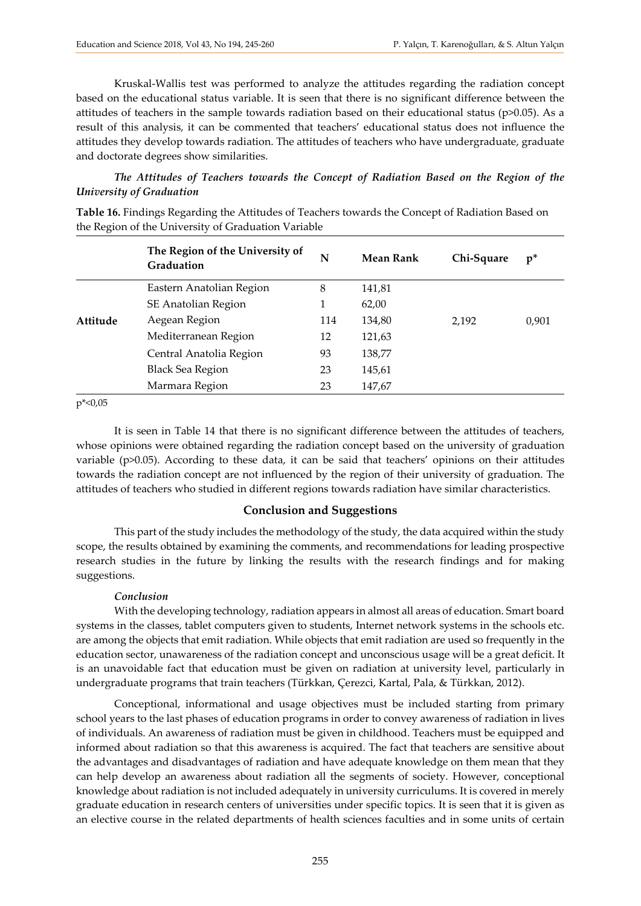Kruskal-Wallis test was performed to analyze the attitudes regarding the radiation concept based on the educational status variable. It is seen that there is no significant difference between the attitudes of teachers in the sample towards radiation based on their educational status ( $p$  $>$ 0.05). As a result of this analysis, it can be commented that teachers' educational status does not influence the attitudes they develop towards radiation. The attitudes of teachers who have undergraduate, graduate and doctorate degrees show similarities.

#### *The Attitudes of Teachers towards the Concept of Radiation Based on the Region of the University of Graduation*

| ◡        |                                               |     |                  |            |       |
|----------|-----------------------------------------------|-----|------------------|------------|-------|
|          | The Region of the University of<br>Graduation | N   | <b>Mean Rank</b> | Chi-Square | $p^*$ |
|          | Eastern Anatolian Region                      | 8   | 141,81           |            |       |
|          | SE Anatolian Region                           |     | 62,00            |            |       |
| Attitude | Aegean Region                                 | 114 | 134,80           | 2,192      | 0,901 |
|          | Mediterranean Region                          | 12  | 121,63           |            |       |
|          | Central Anatolia Region                       | 93  | 138,77           |            |       |
|          | <b>Black Sea Region</b>                       | 23  | 145,61           |            |       |
|          | Marmara Region                                | 23  | 147,67           |            |       |
|          |                                               |     |                  |            |       |

**Table 16.** Findings Regarding the Attitudes of Teachers towards the Concept of Radiation Based on the Region of the University of Graduation Variable

 $p^* < 0.05$ 

It is seen in Table 14 that there is no significant difference between the attitudes of teachers, whose opinions were obtained regarding the radiation concept based on the university of graduation variable (p>0.05). According to these data, it can be said that teachers' opinions on their attitudes towards the radiation concept are not influenced by the region of their university of graduation. The attitudes of teachers who studied in different regions towards radiation have similar characteristics.

#### **Conclusion and Suggestions**

This part of the study includes the methodology of the study, the data acquired within the study scope, the results obtained by examining the comments, and recommendations for leading prospective research studies in the future by linking the results with the research findings and for making suggestions.

#### *Conclusion*

With the developing technology, radiation appears in almost all areas of education. Smart board systems in the classes, tablet computers given to students, Internet network systems in the schools etc. are among the objects that emit radiation. While objects that emit radiation are used so frequently in the education sector, unawareness of the radiation concept and unconscious usage will be a great deficit. It is an unavoidable fact that education must be given on radiation at university level, particularly in undergraduate programs that train teachers (Türkkan, Çerezci, Kartal, Pala, & Türkkan, 2012).

Conceptional, informational and usage objectives must be included starting from primary school years to the last phases of education programs in order to convey awareness of radiation in lives of individuals. An awareness of radiation must be given in childhood. Teachers must be equipped and informed about radiation so that this awareness is acquired. The fact that teachers are sensitive about the advantages and disadvantages of radiation and have adequate knowledge on them mean that they can help develop an awareness about radiation all the segments of society. However, conceptional knowledge about radiation is not included adequately in university curriculums. It is covered in merely graduate education in research centers of universities under specific topics. It is seen that it is given as an elective course in the related departments of health sciences faculties and in some units of certain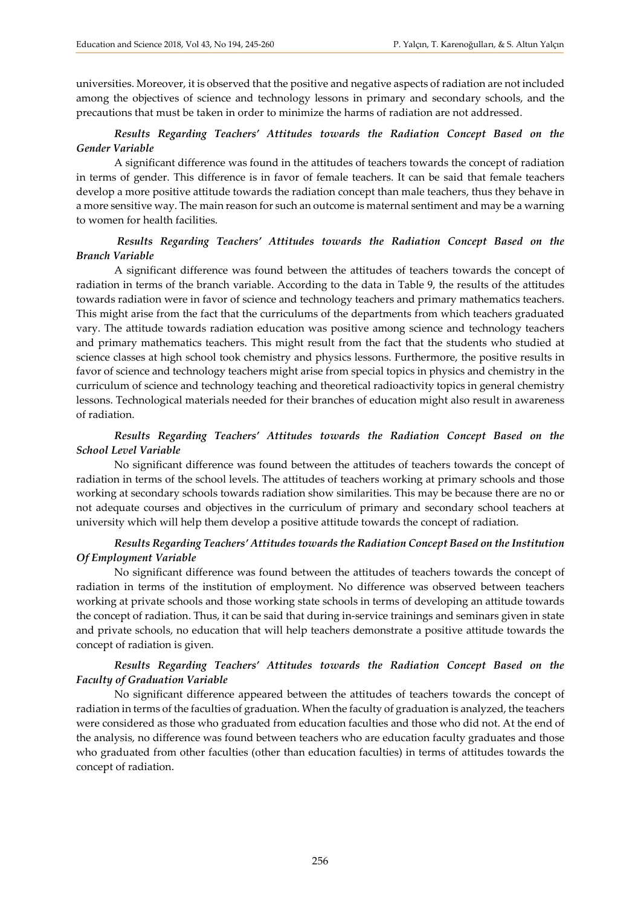universities. Moreover, it is observed that the positive and negative aspects of radiation are not included among the objectives of science and technology lessons in primary and secondary schools, and the precautions that must be taken in order to minimize the harms of radiation are not addressed.

#### *Results Regarding Teachers' Attitudes towards the Radiation Concept Based on the Gender Variable*

A significant difference was found in the attitudes of teachers towards the concept of radiation in terms of gender. This difference is in favor of female teachers. It can be said that female teachers develop a more positive attitude towards the radiation concept than male teachers, thus they behave in a more sensitive way. The main reason for such an outcome is maternal sentiment and may be a warning to women for health facilities.

#### *Results Regarding Teachers' Attitudes towards the Radiation Concept Based on the Branch Variable*

A significant difference was found between the attitudes of teachers towards the concept of radiation in terms of the branch variable. According to the data in Table 9, the results of the attitudes towards radiation were in favor of science and technology teachers and primary mathematics teachers. This might arise from the fact that the curriculums of the departments from which teachers graduated vary. The attitude towards radiation education was positive among science and technology teachers and primary mathematics teachers. This might result from the fact that the students who studied at science classes at high school took chemistry and physics lessons. Furthermore, the positive results in favor of science and technology teachers might arise from special topics in physics and chemistry in the curriculum of science and technology teaching and theoretical radioactivity topics in general chemistry lessons. Technological materials needed for their branches of education might also result in awareness of radiation.

#### *Results Regarding Teachers' Attitudes towards the Radiation Concept Based on the School Level Variable*

No significant difference was found between the attitudes of teachers towards the concept of radiation in terms of the school levels. The attitudes of teachers working at primary schools and those working at secondary schools towards radiation show similarities. This may be because there are no or not adequate courses and objectives in the curriculum of primary and secondary school teachers at university which will help them develop a positive attitude towards the concept of radiation.

#### *Results Regarding Teachers' Attitudes towards the Radiation Concept Based on the Institution Of Employment Variable*

No significant difference was found between the attitudes of teachers towards the concept of radiation in terms of the institution of employment. No difference was observed between teachers working at private schools and those working state schools in terms of developing an attitude towards the concept of radiation. Thus, it can be said that during in-service trainings and seminars given in state and private schools, no education that will help teachers demonstrate a positive attitude towards the concept of radiation is given.

#### *Results Regarding Teachers' Attitudes towards the Radiation Concept Based on the Faculty of Graduation Variable*

No significant difference appeared between the attitudes of teachers towards the concept of radiation in terms of the faculties of graduation. When the faculty of graduation is analyzed, the teachers were considered as those who graduated from education faculties and those who did not. At the end of the analysis, no difference was found between teachers who are education faculty graduates and those who graduated from other faculties (other than education faculties) in terms of attitudes towards the concept of radiation.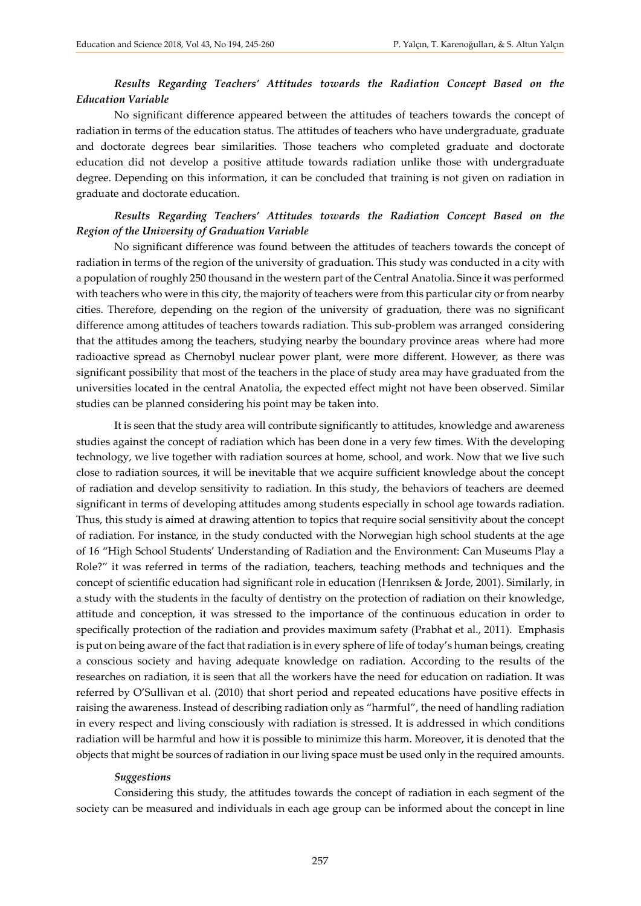### *Results Regarding Teachers' Attitudes towards the Radiation Concept Based on the Education Variable*

No significant difference appeared between the attitudes of teachers towards the concept of radiation in terms of the education status. The attitudes of teachers who have undergraduate, graduate and doctorate degrees bear similarities. Those teachers who completed graduate and doctorate education did not develop a positive attitude towards radiation unlike those with undergraduate degree. Depending on this information, it can be concluded that training is not given on radiation in graduate and doctorate education.

#### *Results Regarding Teachers' Attitudes towards the Radiation Concept Based on the Region of the University of Graduation Variable*

No significant difference was found between the attitudes of teachers towards the concept of radiation in terms of the region of the university of graduation. This study was conducted in a city with a population of roughly 250 thousand in the western part of the Central Anatolia. Since it was performed with teachers who were in this city, the majority of teachers were from this particular city or from nearby cities. Therefore, depending on the region of the university of graduation, there was no significant difference among attitudes of teachers towards radiation. This sub-problem was arranged considering that the attitudes among the teachers, studying nearby the boundary province areas where had more radioactive spread as Chernobyl nuclear power plant, were more different. However, as there was significant possibility that most of the teachers in the place of study area may have graduated from the universities located in the central Anatolia, the expected effect might not have been observed. Similar studies can be planned considering his point may be taken into.

It is seen that the study area will contribute significantly to attitudes, knowledge and awareness studies against the concept of radiation which has been done in a very few times. With the developing technology, we live together with radiation sources at home, school, and work. Now that we live such close to radiation sources, it will be inevitable that we acquire sufficient knowledge about the concept of radiation and develop sensitivity to radiation. In this study, the behaviors of teachers are deemed significant in terms of developing attitudes among students especially in school age towards radiation. Thus, this study is aimed at drawing attention to topics that require social sensitivity about the concept of radiation. For instance, in the study conducted with the Norwegian high school students at the age of 16 "High School Students' Understanding of Radiation and the Environment: Can Museums Play a Role?" it was referred in terms of the radiation, teachers, teaching methods and techniques and the concept of scientific education had significant role in education (Henrıksen & Jorde, 2001). Similarly, in a study with the students in the faculty of dentistry on the protection of radiation on their knowledge, attitude and conception, it was stressed to the importance of the continuous education in order to specifically protection of the radiation and provides maximum safety (Prabhat et al., 2011). Emphasis is put on being aware of the fact that radiation is in every sphere of life of today's human beings, creating a conscious society and having adequate knowledge on radiation. According to the results of the researches on radiation, it is seen that all the workers have the need for education on radiation. It was referred by O'Sullivan et al. (2010) that short period and repeated educations have positive effects in raising the awareness. Instead of describing radiation only as "harmful", the need of handling radiation in every respect and living consciously with radiation is stressed. It is addressed in which conditions radiation will be harmful and how it is possible to minimize this harm. Moreover, it is denoted that the objects that might be sources of radiation in our living space must be used only in the required amounts.

#### *Suggestions*

Considering this study, the attitudes towards the concept of radiation in each segment of the society can be measured and individuals in each age group can be informed about the concept in line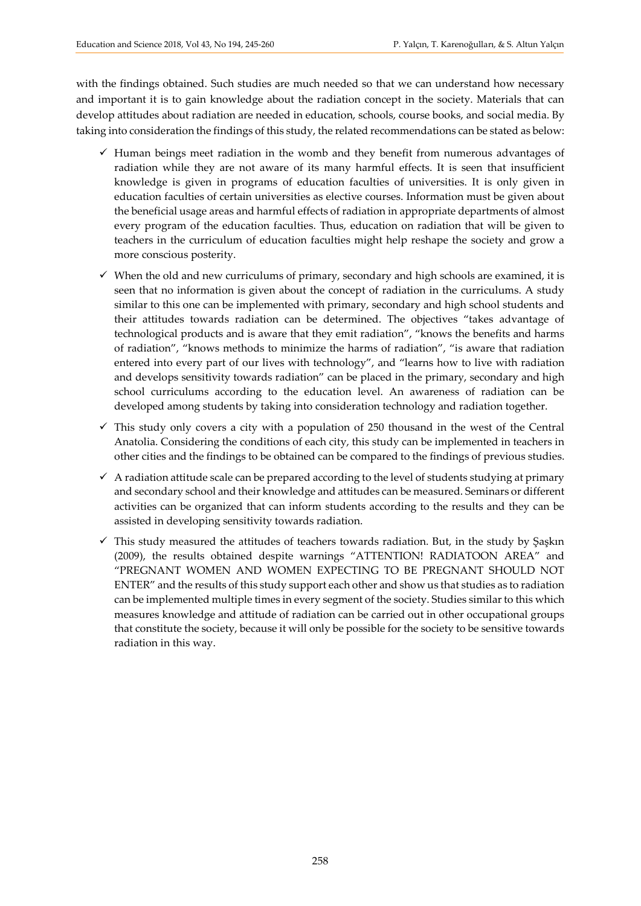with the findings obtained. Such studies are much needed so that we can understand how necessary and important it is to gain knowledge about the radiation concept in the society. Materials that can develop attitudes about radiation are needed in education, schools, course books, and social media. By taking into consideration the findings of this study, the related recommendations can be stated as below:

- $\checkmark$  Human beings meet radiation in the womb and they benefit from numerous advantages of radiation while they are not aware of its many harmful effects. It is seen that insufficient knowledge is given in programs of education faculties of universities. It is only given in education faculties of certain universities as elective courses. Information must be given about the beneficial usage areas and harmful effects of radiation in appropriate departments of almost every program of the education faculties. Thus, education on radiation that will be given to teachers in the curriculum of education faculties might help reshape the society and grow a more conscious posterity.
- $\checkmark$  When the old and new curriculums of primary, secondary and high schools are examined, it is seen that no information is given about the concept of radiation in the curriculums. A study similar to this one can be implemented with primary, secondary and high school students and their attitudes towards radiation can be determined. The objectives "takes advantage of technological products and is aware that they emit radiation", "knows the benefits and harms of radiation", "knows methods to minimize the harms of radiation", "is aware that radiation entered into every part of our lives with technology", and "learns how to live with radiation and develops sensitivity towards radiation" can be placed in the primary, secondary and high school curriculums according to the education level. An awareness of radiation can be developed among students by taking into consideration technology and radiation together.
- $\checkmark$  This study only covers a city with a population of 250 thousand in the west of the Central Anatolia. Considering the conditions of each city, this study can be implemented in teachers in other cities and the findings to be obtained can be compared to the findings of previous studies.
- $\checkmark$  A radiation attitude scale can be prepared according to the level of students studying at primary and secondary school and their knowledge and attitudes can be measured. Seminars or different activities can be organized that can inform students according to the results and they can be assisted in developing sensitivity towards radiation.
- $\checkmark$  This study measured the attitudes of teachers towards radiation. But, in the study by Saskin (2009), the results obtained despite warnings "ATTENTION! RADIATOON AREA" and "PREGNANT WOMEN AND WOMEN EXPECTING TO BE PREGNANT SHOULD NOT ENTER" and the results of this study support each other and show us that studies as to radiation can be implemented multiple times in every segment of the society. Studies similar to this which measures knowledge and attitude of radiation can be carried out in other occupational groups that constitute the society, because it will only be possible for the society to be sensitive towards radiation in this way.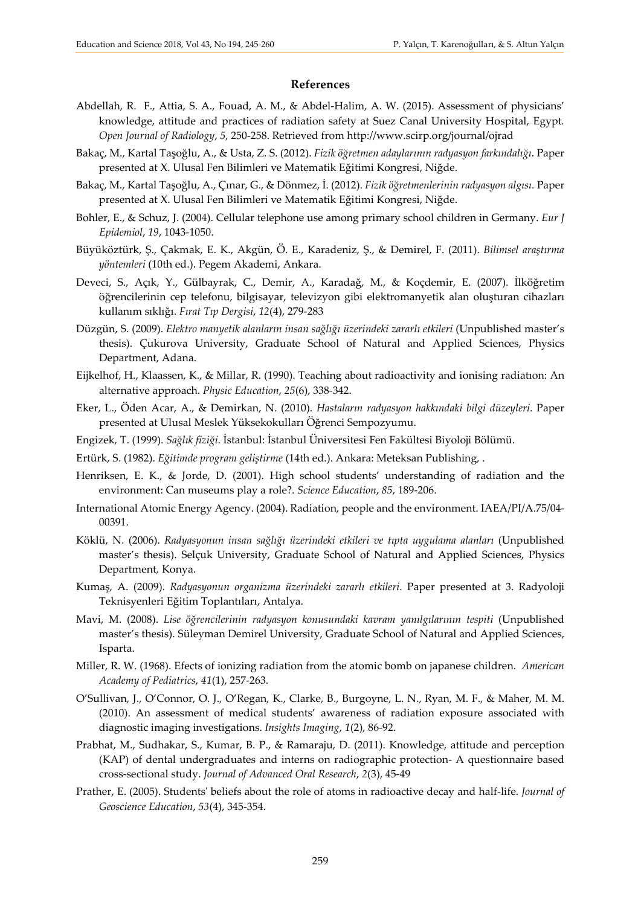#### **References**

- Abdellah, R. F., Attia, S. A., Fouad, A. M., & Abdel-Halim, A. W. (2015). Assessment of physicians' knowledge, attitude and practices of radiation safety at Suez Canal University Hospital, Egypt*. Open Journal of Radiology*, *5*, 250-258. Retrieved from http://www.scirp.org/journal/ojrad
- Bakaç, M., Kartal Taşoğlu, A., & Usta, Z. S. (2012). *Fizik öğretmen adaylarının radyasyon farkındalığı*. Paper presented at X. Ulusal Fen Bilimleri ve Matematik Eğitimi Kongresi, Niğde.
- Bakaç, M., Kartal Taşoğlu, A., Çınar, G., & Dönmez, İ. (2012). *Fizik öğretmenlerinin radyasyon algısı*. Paper presented at X. Ulusal Fen Bilimleri ve Matematik Eğitimi Kongresi, Niğde.
- Bohler, E., & Schuz, J. (2004). Cellular telephone use among primary school children in Germany. *Eur J Epidemiol*, *19*, 1043-1050.
- Büyüköztürk, Ş., Çakmak, E. K., Akgün, Ö. E., Karadeniz, Ş., & Demirel, F. (2011). *Bilimsel araştırma yöntemleri* (10th ed.). Pegem Akademi, Ankara.
- Deveci, S., Açık, Y., Gülbayrak, C., Demir, A., Karadağ, M., & Koçdemir, E. (2007). İlköğretim öğrencilerinin cep telefonu, bilgisayar, televizyon gibi elektromanyetik alan oluşturan cihazları kullanım sıklığı. *Fırat Tıp Dergisi*, *12*(4), 279-283
- Düzgün, S. (2009). *Elektro manyetik alanların insan sağlığı üzerindeki zararlı etkileri* (Unpublished master's thesis). Çukurova University, Graduate School of Natural and Applied Sciences, Physics Department, Adana.
- Eijkelhof, H., Klaassen, K., & Millar, R. (1990). Teaching about radioactivity and ionising radiatıon: An alternative approach. *Physic Education*, *25*(6), 338-342.
- Eker, L., Öden Acar, A., & Demirkan, N. (2010). *Hastaların radyasyon hakkındaki bilgi düzeyleri*. Paper presented at Ulusal Meslek Yüksekokulları Öğrenci Sempozyumu.
- Engizek, T. (1999). *Sağlık fiziği*. İstanbul: İstanbul Üniversitesi Fen Fakültesi Biyoloji Bölümü.
- Ertürk, S. (1982). *Eğitimde program geliştirme* (14th ed.). Ankara: Meteksan Publishing, .
- Henriksen, E. K., & Jorde, D. (2001). High school students' understanding of radiation and the environment: Can museums play a role?. *Science Education*, *85*, 189-206.
- International Atomic Energy Agency. (2004). Radiation, people and the environment. IAEA/PI/A.75/04- 00391.
- Köklü, N. (2006). *Radyasyonun insan sağlığı üzerindeki etkileri ve tıpta uygulama alanları* (Unpublished master's thesis). Selçuk University, Graduate School of Natural and Applied Sciences, Physics Department*,* Konya.
- Kumaş, A. (2009). *Radyasyonun organizma üzerindeki zararlı etkileri*. Paper presented at 3. Radyoloji Teknisyenleri Eğitim Toplantıları, Antalya.
- Mavi, M. (2008). *Lise öğrencilerinin radyasyon konusundaki kavram yanılgılarının tespiti* (Unpublished master's thesis). Süleyman Demirel University, Graduate School of Natural and Applied Sciences, Isparta.
- Miller, R. W. (1968). Efects of ionizing radiation from the atomic bomb on japanese children. *American Academy of Pediatrics*, *41*(1), 257-263.
- O'Sullivan, J., O'Connor, O. J., O'Regan, K., Clarke, B., Burgoyne, L. N., Ryan, M. F., & Maher, M. M. (2010). An assessment of medical students' awareness of radiation exposure associated with diagnostic imaging investigations. *Insights Imaging*, *1*(2), 86-92.
- Prabhat, M., Sudhakar, S., Kumar, B. P., & Ramaraju, D. (2011). Knowledge, attitude and perception (KAP) of dental undergraduates and interns on radiographic protection- A questionnaire based cross-sectional study. *Journal of Advanced Oral Research*, *2*(3), 45-49
- Prather, E. (2005). Students' beliefs about the role of atoms in radioactive decay and half-life. *Journal of Geoscience Education*, *53*(4), 345-354.